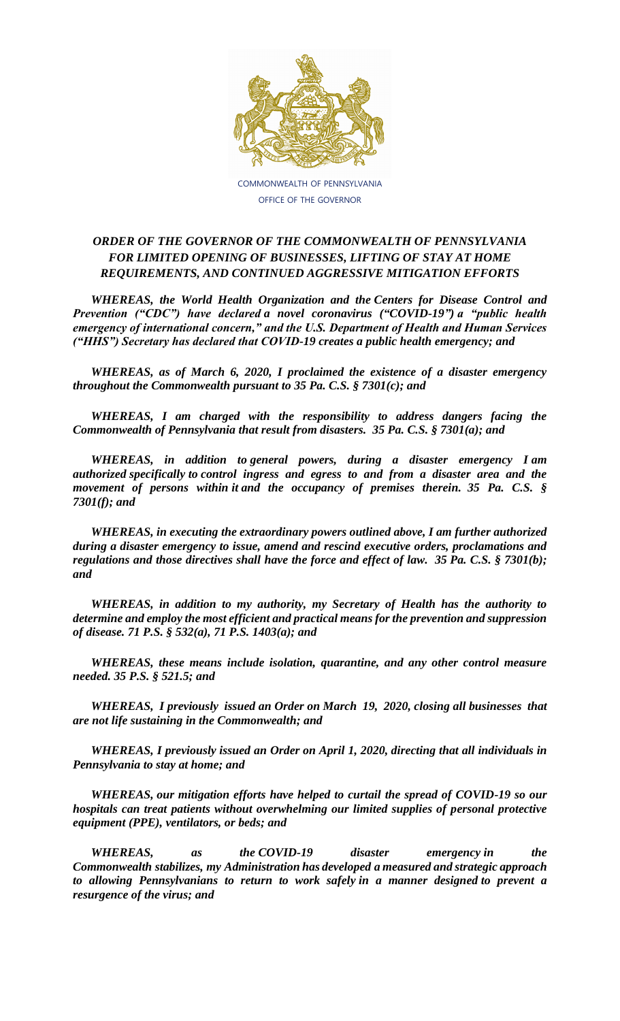

COMMONWEALTH OF PENNSYLVANIA OFFICE OF THE GOVERNOR

## *ORDER OF THE GOVERNOR OF THE COMMONWEALTH OF PENNSYLVANIA FOR LIMITED OPENING OF BUSINESSES, LIFTING OF STAY AT HOME REQUIREMENTS, AND CONTINUED AGGRESSIVE MITIGATION EFFORTS*

*WHEREAS, the World Health Organization and the Centers for Disease Control and Prevention ("CDC") have declared a novel coronavirus ("COVID-19") a "public health emergency of international concern," and the U.S. Department of Health and Human Services ("HHS") Secretary has declared that COVID-19 creates a public health emergency; and*

*WHEREAS, as of March 6, 2020, I proclaimed the existence of a disaster emergency throughout the Commonwealth pursuant to 35 Pa. C.S. § 7301(c); and*

*WHEREAS, I am charged with the responsibility to address dangers facing the Commonwealth of Pennsylvania that result from disasters. 35 Pa. C.S. § 7301(a); and*

*WHEREAS, in addition to general powers, during a disaster emergency I am authorized specifically to control ingress and egress to and from a disaster area and the movement of persons within it and the occupancy of premises therein. 35 Pa. C.S. § 7301(f); and*

*WHEREAS, in executing the extraordinary powers outlined above, I am further authorized during a disaster emergency to issue, amend and rescind executive orders, proclamations and regulations and those directives shall have the force and effect of law. 35 Pa. C.S. § 7301(b); and* 

*WHEREAS, in addition to my authority, my Secretary of Health has the authority to determine and employ the most efficient and practical means for the prevention and suppression of disease. 71 P.S. § 532(a), 71 P.S. 1403(a); and*

*WHEREAS, these means include isolation, quarantine, and any other control measure needed. 35 P.S. § 521.5; and*

*WHEREAS, I previously issued an Order on March 19, 2020, closing all businesses that are not life sustaining in the Commonwealth; and*

*WHEREAS, I previously issued an Order on April 1, 2020, directing that all individuals in Pennsylvania to stay at home; and*

*WHEREAS, our mitigation efforts have helped to curtail the spread of COVID-19 so our hospitals can treat patients without overwhelming our limited supplies of personal protective equipment (PPE), ventilators, or beds; and*

*WHEREAS, as the COVID-19 disaster emergency in the Commonwealth stabilizes, my Administration has developed a measured and strategic approach to allowing Pennsylvanians to return to work safely in a manner designed to prevent a resurgence of the virus; and*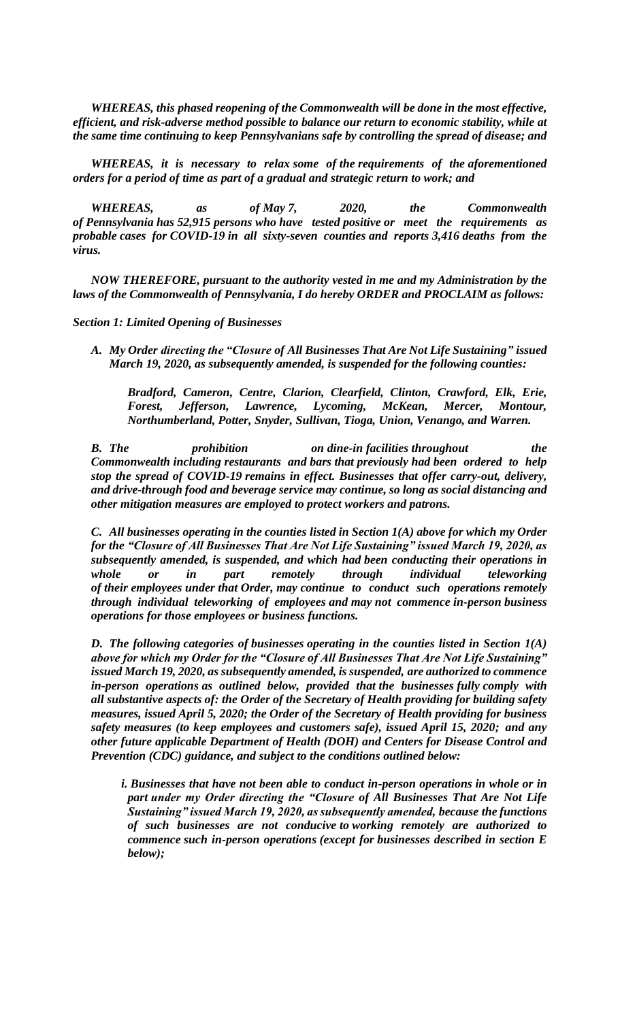*WHEREAS, this phased reopening of the Commonwealth will be done in the most effective, efficient, and risk-adverse method possible to balance our return to economic stability, while at the same time continuing to keep Pennsylvanians safe by controlling the spread of disease; and*

*WHEREAS, it is necessary to relax some of the requirements of the aforementioned orders for a period of time as part of a gradual and strategic return to work; and*

*WHEREAS, as of May 7, 2020, the Commonwealth of Pennsylvania has 52,915 persons who have tested positive or meet the requirements as probable cases for COVID-19 in all sixty-seven counties and reports 3,416 deaths from the virus.*

*NOW THEREFORE, pursuant to the authority vested in me and my Administration by the laws of the Commonwealth of Pennsylvania, I do hereby ORDER and PROCLAIM as follows:*

*Section 1: Limited Opening of Businesses*

*A. My Order directing the "Closure of All Businesses That Are Not Life Sustaining" issued March 19, 2020, as subsequently amended, is suspended for the following counties:*

*Bradford, Cameron, Centre, Clarion, Clearfield, Clinton, Crawford, Elk, Erie, Forest, Jefferson, Lawrence, Lycoming, McKean, Mercer, Montour, Northumberland, Potter, Snyder, Sullivan, Tioga, Union, Venango, and Warren.*

*B. The prohibition on dine-in facilities throughout the Commonwealth including restaurants and bars that previously had been ordered to help stop the spread of COVID-19 remains in effect. Businesses that offer carry-out, delivery, and drive-through food and beverage service may continue, so long as social distancing and other mitigation measures are employed to protect workers and patrons.*

*C. All businesses operating in the counties listed in Section 1(A) above for which my Order for the "Closure of All Businesses That Are Not Life Sustaining" issued March 19, 2020, as subsequently amended, is suspended, and which had been conducting their operations in whole or in part remotely through individual teleworking of their employees under that Order, may continue to conduct such operations remotely through individual teleworking of employees and may not commence in-person business operations for those employees or business functions.*

*D. The following categories of businesses operating in the counties listed in Section 1(A) above for which my Order for the "Closure of All Businesses That Are Not Life Sustaining" issued March 19, 2020, as subsequently amended, is suspended, are authorized to commence in-person operations as outlined below, provided that the businesses fully comply with all substantive aspects of: the Order of the Secretary of Health providing for building safety measures, issued April 5, 2020; the Order of the Secretary of Health providing for business safety measures (to keep employees and customers safe), issued April 15, 2020; and any other future applicable Department of Health (DOH) and Centers for Disease Control and Prevention (CDC) guidance, and subject to the conditions outlined below:*

*i. Businesses that have not been able to conduct in-person operations in whole or in part under my Order directing the "Closure of All Businesses That Are Not Life Sustaining" issued March 19, 2020, as subsequently amended, because the functions of such businesses are not conducive to working remotely are authorized to commence such in-person operations (except for businesses described in section E below);*